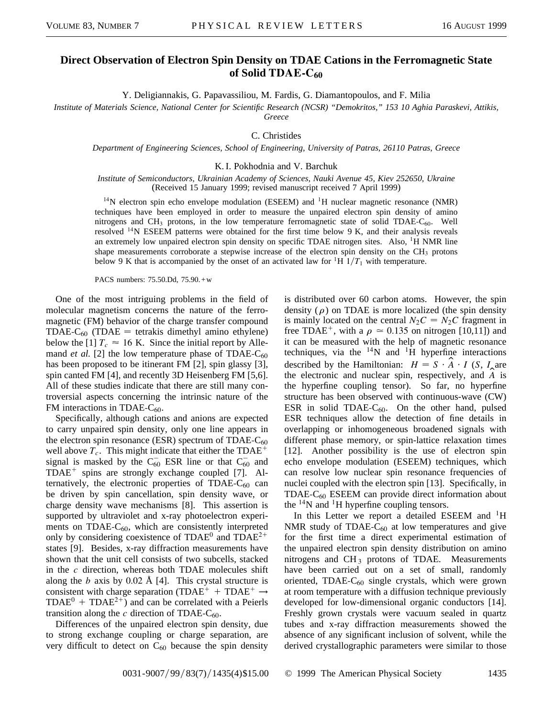## **Direct Observation of Electron Spin Density on TDAE Cations in the Ferromagnetic State of Solid TDAE-C60**

Y. Deligiannakis, G. Papavassiliou, M. Fardis, G. Diamantopoulos, and F. Milia

*Institute of Materials Science, National Center for Scientific Research (NCSR) "Demokritos," 153 10 Aghia Paraskevi, Attikis,*

*Greece*

C. Christides

*Department of Engineering Sciences, School of Engineering, University of Patras, 26110 Patras, Greece*

K. I. Pokhodnia and V. Barchuk

*Institute of Semiconductors, Ukrainian Academy of Sciences, Nauki Avenue 45, Kiev 252650, Ukraine* (Received 15 January 1999; revised manuscript received 7 April 1999)

 $14N$  electron spin echo envelope modulation (ESEEM) and  $1H$  nuclear magnetic resonance (NMR) techniques have been employed in order to measure the unpaired electron spin density of amino nitrogens and  $CH_3$  protons, in the low temperature ferromagnetic state of solid TDAE-C<sub>60</sub>. Well resolved  $14N$  ESEEM patterns were obtained for the first time below 9 K, and their analysis reveals an extremely low unpaired electron spin density on specific TDAE nitrogen sites. Also,  ${}^{1}$ H NMR line shape measurements corroborate a stepwise increase of the electron spin density on the  $CH<sub>3</sub>$  protons below 9 K that is accompanied by the onset of an activated law for  ${}^{1}H$  1/ $T_1$  with temperature.

PACS numbers: 75.50.Dd, 75.90.+w

One of the most intriguing problems in the field of molecular magnetism concerns the nature of the ferromagnetic (FM) behavior of the charge transfer compound TDAE-C<sub>60</sub> (TDAE = tetrakis dimethyl amino ethylene) below the [1]  $T_c \approx 16$  K. Since the initial report by Allemand *et al.* [2] the low temperature phase of TDAE- $C_{60}$ has been proposed to be itinerant FM [2], spin glassy [3], spin canted FM [4], and recently 3D Heisenberg FM [5,6]. All of these studies indicate that there are still many controversial aspects concerning the intrinsic nature of the FM interactions in TDAE- $C_{60}$ .

Specifically, although cations and anions are expected to carry unpaired spin density, only one line appears in the electron spin resonance (ESR) spectrum of TDAE- $C_{60}$ well above  $T_c$ . This might indicate that either the TDAE<sup>+</sup> signal is masked by the  $C_{60}^-$  ESR line or that  $C_{60}^-$  and  $TDAE^+$  spins are strongly exchange coupled [7]. Alternatively, the electronic properties of TDAE- $C_{60}$  can be driven by spin cancellation, spin density wave, or charge density wave mechanisms [8]. This assertion is supported by ultraviolet and x-ray photoelectron experiments on TDAE- $C_{60}$ , which are consistently interpreted only by considering coexistence of  $TDAE^0$  and  $TDAE^{2+}$ states [9]. Besides, x-ray diffraction measurements have shown that the unit cell consists of two subcells, stacked in the *c* direction, whereas both TDAE molecules shift along the *b* axis by 0.02 Å [4]. This crystal structure is consistent with charge separation (TDAE<sup>+</sup> + TDAE<sup>+</sup>  $\rightarrow$  $TDAE<sup>0</sup> + TDAE<sup>2+</sup>$  and can be correlated with a Peierls transition along the  $c$  direction of TDAE- $C_{60}$ .

Differences of the unpaired electron spin density, due to strong exchange coupling or charge separation, are very difficult to detect on  $C_{60}$  because the spin density is distributed over 60 carbon atoms. However, the spin density ( $\rho$ ) on TDAE is more localized (the spin density is mainly located on the central  $N_2C = N_2C$  fragment in free TDAE<sup>+</sup>, with a  $\rho \approx 0.135$  on nitrogen [10,11]) and it can be measured with the help of magnetic resonance techniques, via the  $^{14}N$  and  $^{1}H$  hyperfine interactions described by the Hamiltonian:  $H = S \cdot \overrightarrow{A} \cdot I$  (*S*, *I*<sub>**a**</sub> are the electronic and nuclear spin, respectively, and *A*b is the hyperfine coupling tensor). So far, no hyperfine structure has been observed with continuous-wave (CW) ESR in solid TDAE- $C_{60}$ . On the other hand, pulsed ESR techniques allow the detection of fine details in overlapping or inhomogeneous broadened signals with different phase memory, or spin-lattice relaxation times [12]. Another possibility is the use of electron spin echo envelope modulation (ESEEM) techniques, which can resolve low nuclear spin resonance frequencies of nuclei coupled with the electron spin [13]. Specifically, in  $TDAE-C_{60}$  ESEEM can provide direct information about the  $^{14}$ N and  $^{1}$ H hyperfine coupling tensors.

In this Letter we report a detailed ESEEM and  $H$ NMR study of TDAE- $C_{60}$  at low temperatures and give for the first time a direct experimental estimation of the unpaired electron spin density distribution on amino nitrogens and  $CH_3$  protons of TDAE. Measurements have been carried out on a set of small, randomly oriented, TDAE- $C_{60}$  single crystals, which were grown at room temperature with a diffusion technique previously developed for low-dimensional organic conductors [14]. Freshly grown crystals were vacuum sealed in quartz tubes and x-ray diffraction measurements showed the absence of any significant inclusion of solvent, while the derived crystallographic parameters were similar to those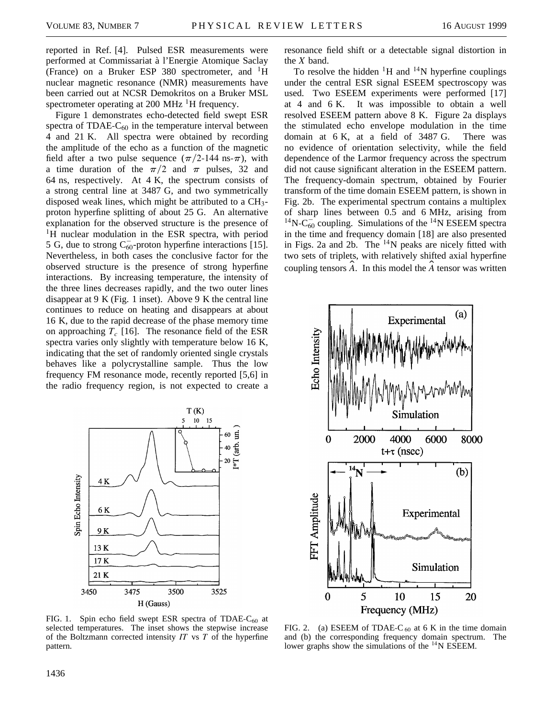reported in Ref. [4]. Pulsed ESR measurements were performed at Commissariat à l'Energie Atomique Saclay (France) on a Bruker ESP 380 spectrometer, and  ${}^{1}H$ nuclear magnetic resonance (NMR) measurements have been carried out at NCSR Demokritos on a Bruker MSL spectrometer operating at 200 MHz  $^{1}$ H frequency.

Figure 1 demonstrates echo-detected field swept ESR spectra of TDAE- $C_{60}$  in the temperature interval between 4 and 21 K. All spectra were obtained by recording the amplitude of the echo as a function of the magnetic field after a two pulse sequence  $(\pi/2$ -144 ns- $\pi$ ), with a time duration of the  $\pi/2$  and  $\pi$  pulses, 32 and 64 ns, respectively. At 4 K, the spectrum consists of a strong central line at 3487 G, and two symmetrically disposed weak lines, which might be attributed to a CH3 proton hyperfine splitting of about 25 G. An alternative explanation for the observed structure is the presence of <sup>1</sup>H nuclear modulation in the ESR spectra, with period 5 G, due to strong  $C_{60}^-$ -proton hyperfine interactions [15]. Nevertheless, in both cases the conclusive factor for the observed structure is the presence of strong hyperfine interactions. By increasing temperature, the intensity of the three lines decreases rapidly, and the two outer lines disappear at 9 K (Fig. 1 inset). Above 9 K the central line continues to reduce on heating and disappears at about 16 K, due to the rapid decrease of the phase memory time on approaching  $T_c$  [16]. The resonance field of the ESR spectra varies only slightly with temperature below 16 K, indicating that the set of randomly oriented single crystals behaves like a polycrystalline sample. Thus the low frequency FM resonance mode, recently reported [5,6] in the radio frequency region, is not expected to create a



FIG. 1. Spin echo field swept ESR spectra of TDAE- $C_{60}$  at selected temperatures. The inset shows the stepwise increase of the Boltzmann corrected intensity *IT* vs *T* of the hyperfine pattern.

resonance field shift or a detectable signal distortion in the *X* band.

To resolve the hidden  ${}^{1}H$  and  ${}^{14}N$  hyperfine couplings under the central ESR signal ESEEM spectroscopy was used. Two ESEEM experiments were performed [17] at 4 and 6 K. It was impossible to obtain a well resolved ESEEM pattern above 8 K. Figure 2a displays the stimulated echo envelope modulation in the time domain at 6 K, at a field of 3487 G. There was no evidence of orientation selectivity, while the field dependence of the Larmor frequency across the spectrum did not cause significant alteration in the ESEEM pattern. The frequency-domain spectrum, obtained by Fourier transform of the time domain ESEEM pattern, is shown in Fig. 2b. The experimental spectrum contains a multiplex of sharp lines between 0.5 and 6 MHz, arising from  $^{14}N-C_{60}^{-}$  coupling. Simulations of the  $^{14}N$  ESEEM spectra in the time and frequency domain [18] are also presented in Figs. 2a and 2b. The  $^{14}N$  peaks are nicely fitted with two sets of triplets, with relatively shifted axial hyperfine coupling tensors *A*. In this model the *A* tensor was written



FIG. 2. (a) ESEEM of TDAE-C  $_{60}$  at 6 K in the time domain and (b) the corresponding frequency domain spectrum. The lower graphs show the simulations of the  $^{14}$ N ESEEM.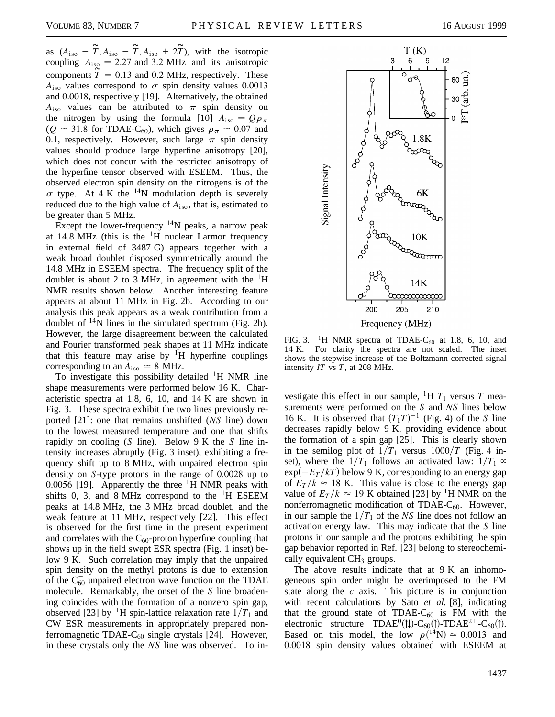as  $(A_{iso} - T, A_{iso} - T, A_{iso} + 2T)$ , with the isotropic coupling  $A_{\text{iso}} = 2.27$  and 3.2 MHz and its anisotropic components  $T = 0.13$  and 0.2 MHz, respectively. These  $A_{\text{iso}}$  values correspond to  $\sigma$  spin density values 0.0013 and 0.0018, respectively [19]. Alternatively, the obtained  $A_{\text{iso}}$  values can be attributed to  $\pi$  spin density on the nitrogen by using the formula [10]  $A_{\text{iso}} = Q \rho_{\pi}$  $(Q \approx 31.8$  for TDAE-C<sub>60</sub>), which gives  $\rho_{\pi} \approx 0.07$  and 0.1, respectively. However, such large  $\pi$  spin density values should produce large hyperfine anisotropy [20], which does not concur with the restricted anisotropy of the hyperfine tensor observed with ESEEM. Thus, the observed electron spin density on the nitrogens is of the  $\sigma$  type. At 4 K the <sup>14</sup>N modulation depth is severely reduced due to the high value of *A*iso, that is, estimated to be greater than 5 MHz.

Except the lower-frequency  $14N$  peaks, a narrow peak at 14.8 MHz (this is the  $\rm{^1H}$  nuclear Larmor frequency in external field of 3487 G) appears together with a weak broad doublet disposed symmetrically around the 14.8 MHz in ESEEM spectra. The frequency split of the doublet is about 2 to 3 MHz, in agreement with the  ${}^{1}H$ NMR results shown below. Another interesting feature appears at about 11 MHz in Fig. 2b. According to our analysis this peak appears as a weak contribution from a doublet of  $^{14}N$  lines in the simulated spectrum (Fig. 2b). However, the large disagreement between the calculated and Fourier transformed peak shapes at 11 MHz indicate that this feature may arise by  ${}^{1}H$  hyperfine couplings corresponding to an  $A_{\text{iso}} \approx 8$  MHz.

To investigate this possibility detailed  $H$  NMR line shape measurements were performed below 16 K. Characteristic spectra at 1.8, 6, 10, and 14 K are shown in Fig. 3. These spectra exhibit the two lines previously reported [21]: one that remains unshifted (*NS* line) down to the lowest measured temperature and one that shifts rapidly on cooling (*S* line). Below 9 K the *S* line intensity increases abruptly (Fig. 3 inset), exhibiting a frequency shift up to 8 MHz, with unpaired electron spin density on *S*-type protons in the range of 0.0028 up to 0.0056 [19]. Apparently the three  ${}^{1}H$  NMR peaks with shifts 0, 3, and 8 MHz correspond to the  ${}^{1}H$  ESEEM peaks at 14.8 MHz, the 3 MHz broad doublet, and the weak feature at 11 MHz, respectively [22]. This effect is observed for the first time in the present experiment and correlates with the  $C_{60}^-$ -proton hyperfine coupling that shows up in the field swept ESR spectra (Fig. 1 inset) below 9 K. Such correlation may imply that the unpaired spin density on the methyl protons is due to extension of the  $C_{60}^-$  unpaired electron wave function on the TDAE molecule. Remarkably, the onset of the *S* line broadening coincides with the formation of a nonzero spin gap, observed [23] by <sup>1</sup>H spin-lattice relaxation rate  $1/T_1$  and CW ESR measurements in appropriately prepared nonferromagnetic TDAE- $C_{60}$  single crystals [24]. However, in these crystals only the *NS* line was observed. To in-



FIG. 3. <sup>1</sup>H NMR spectra of TDAE-C<sub>60</sub> at 1.8, 6, 10, and 14 K. For clarity the spectra are not scaled. The inset shows the stepwise increase of the Boltzmann corrected signal intensity *IT* vs *T*, at 208 MHz.

vestigate this effect in our sample,  ${}^{1}H T_1$  versus *T* measurements were performed on the *S* and *NS* lines below 16 K. It is observed that  $(T_1T)^{-1}$  (Fig. 4) of the *S* line decreases rapidly below 9 K, providing evidence about the formation of a spin gap [25]. This is clearly shown in the semilog plot of  $1/T_1$  versus  $1000/T$  (Fig. 4 inset), where the  $1/T_1$  follows an activated law:  $1/T_1 \propto$  $\exp(-E_T/kT)$  below 9 K, corresponding to an energy gap of  $E_T/k \approx 18$  K. This value is close to the energy gap value of  $E_T/k \approx 19$  K obtained [23] by <sup>1</sup>H NMR on the nonferromagnetic modification of TDAE- $C_{60}$ . However, in our sample the  $1/T_1$  of the *NS* line does not follow an activation energy law. This may indicate that the *S* line protons in our sample and the protons exhibiting the spin gap behavior reported in Ref. [23] belong to stereochemically equivalent  $CH<sub>3</sub>$  groups.

The above results indicate that at 9 K an inhomogeneous spin order might be overimposed to the FM state along the *c* axis. This picture is in conjunction with recent calculations by Sato *et al.* [8], indicating that the ground state of TDAE- $C_{60}$  is FM with the electronic structure  $TDAE^0(1)$ -C<sub>60</sub>(1)-TDAE<sup>2+</sup>-C<sub>60</sub>(1). Based on this model, the low  $\rho(^{14}N) \approx 0.0013$  and 0.0018 spin density values obtained with ESEEM at